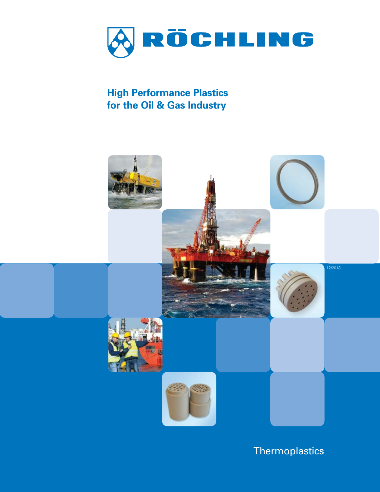

**High Performance Plastics for the Oil & Gas Industry**



**Thermoplastics**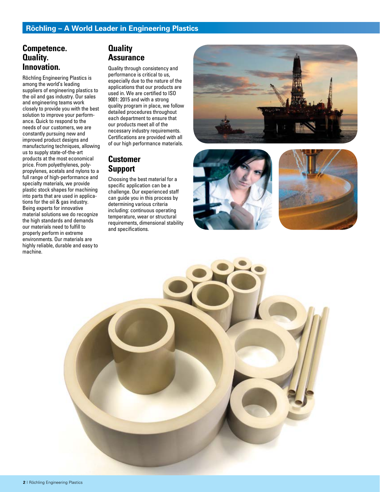### **Competence. Quality. Innovation.**

Röchling Engineering Plastics is among the world's leading suppliers of engineering plastics to the oil and gas industry. Our sales and engineering teams work closely to provide you with the best solution to improve your performance. Quick to respond to the needs of our customers, we are constantly pursuing new and improved product designs and manufacturing techniques, allowing us to supply state-of-the-art products at the most economical price. From polyethylenes, polypropylenes, acetals and nylons to a full range of high-performance and specialty materials, we provide plastic stock shapes for machining into parts that are used in applications for the oil & gas industry. Being experts for innovative material solutions we do recognize the high standards and demands our materials need to fulfill to properly perform in extreme environments. Our materials are highly reliable, durable and easy to machine.

## **Quality Assurance**

Quality through consistency and performance is critical to us, especially due to the nature of the applications that our products are used in. We are certified to ISO 9001: 2015 and with a strong quality program in place, we follow detailed procedures throughout each department to ensure that our products meet all of the necessary industry requirements. Certifications are provided with all of our high performance materials.

## **Customer Support**

Choosing the best material for a specific application can be a challenge. Our experienced staff can guide you in this process by determining various criteria including: continuous operating temperature, wear or structural requirements, dimensional stability and specifications.







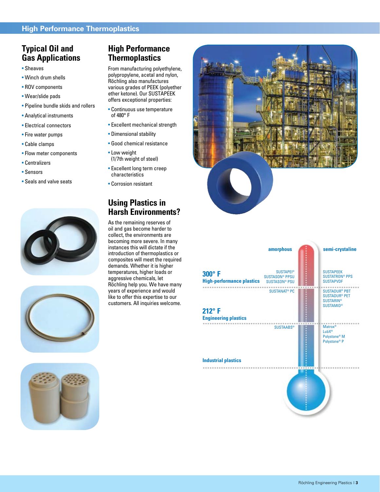## **Typical Oil and Gas Applications**

- Sheaves
- Winch drum shells
- ROV components
- Wear/slide pads
- Pipeline bundle skids and rollers
- Analytical instruments
- Electrical connectors
- Fire water pumps
- Cable clamps
- Flow meter components
- Centralizers
- Sensors
- Seals and valve seats





## **High Performance Thermoplastics**

From manufacturing polyethylene, polypropylene, acetal and nylon, Röchling also manufactures various grades of PEEK (polyether ether ketone). Our SUSTAPEEK offers exceptional properties:

- Continuous use temperature of 480° F
- Excellent mechanical strength
- Dimensional stability
- Good chemical resistance
- Low weight (1/7th weight of steel)
- Excellent long term creep characteristics
- Corrosion resistant

## **Using Plastics in Harsh Environments?**

As the remaining reserves of oil and gas become harder to collect, the environments are becoming more severe. In many instances this will dictate if the introduction of thermoplastics or composites will meet the required demands. Whether it is higher temperatures, higher loads or aggressive chemicals, let Röchling help you. We have many years of experience and would like to offer this expertise to our customers. All inquiries welcome.





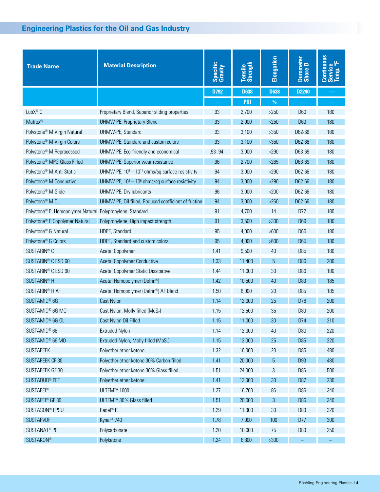### **Filter Full service Full and Gas Industry**

| <b>Trade Name</b>                                                    | <b>Material Description</b>                           | Specific<br>Gravity | Tensile<br>Strength | Elongation     | Durometer<br>Shore D | Continuous<br>Service<br>Temp. °F<br>Temp. |
|----------------------------------------------------------------------|-------------------------------------------------------|---------------------|---------------------|----------------|----------------------|--------------------------------------------|
|                                                                      |                                                       | D792                | <b>D638</b>         | <b>D638</b>    | D2240                |                                            |
|                                                                      |                                                       |                     | <b>PSI</b>          | $\%$           |                      | -                                          |
| LubX <sup>®</sup> C                                                  | Proprietary Blend, Superior sliding properties        | .93                 | 2,700               | $>250$         | <b>D60</b>           | 180                                        |
| Matrox®                                                              | <b>UHMW-PE, Proprietary Blend</b>                     | .93                 | 2,900               | $>250$         | D63                  | 180                                        |
| Polystone <sup>®</sup> M Virgin Natural                              | UHMW-PE, Standard                                     | .93                 | 3,100               | $>350$         | D62-66               | 180                                        |
| Polystone <sup>®</sup> M Virgin Colors                               | UHMW-PE, Standard and custom colors                   | .93                 | 3,100               | $>350$         | D62-66               | 180                                        |
| Polystone <sup>®</sup> M Reprocessed                                 | UHMW-PE, Eco-friendly and economical                  | .93-.94             | 3,000               | $>290$         | D63-69               | 180                                        |
| Polystone <sup>®</sup> MPG Glass Filled                              | UHMW-PE, Superior wear resistance                     | .96                 | 2,700               | $>265$         | D63-69               | 180                                        |
| Polystone <sup>®</sup> M Anti-Static                                 | UHMW-PE, $10^6 - 10^{11}$ ohms/sq surface resistivity | .94                 | 3,000               | $>290$         | D62-66               | 180                                        |
| Polystone <sup>®</sup> M Conductive                                  | UHMW-PE, $10^3 - 10^6$ ohms/sq surface resistivity    | .94                 | 3,000               | $>290$         | D62-66               | 180                                        |
| Polystone <sup>®</sup> M-Slide                                       | UHMW-PE, Dry lubricants                               | .96                 | 3,000               | $>200$         | D62-66               | 180                                        |
| Polystone <sup>®</sup> M OL                                          | UHMW-PE, Oil filled, Reduced coefficient of friction  | .94                 | 3,000               | $>260$         | D62-66               | 180                                        |
| Polystone <sup>®</sup> P Homopolymer Natural Polypropylene, Standard |                                                       | .91                 | 4,700               | 14             | D72                  | 180                                        |
| Polystone <sup>®</sup> P Copolymer Natural                           | Polypropylene, High impact strength                   | .91                 | 3,500               | $>300$         | <b>D69</b>           | 180                                        |
| Polystone <sup>®</sup> G Natural                                     | HDPE, Standard                                        | .95                 | 4,000               | >600           | D65                  | 180                                        |
| Polystone <sup>®</sup> G Colors                                      | HDPE, Standard and custom colors                      | .95                 | 4,000               | $>600$         | D65                  | 180                                        |
| SUSTARIN <sup>®</sup> C                                              | <b>Acetal Copolymer</b>                               | 1.41                | 9,500               | 40             | <b>D85</b>           | 180                                        |
| SUSTARIN <sup>®</sup> C ESD 60                                       | <b>Acetal Copolymer Conductive</b>                    | 1.33                | 11,400              | 5              | D <sub>86</sub>      | 200                                        |
| SUSTARIN <sup>®</sup> C ESD 90                                       | Acetal Copolymer Static Dissipative                   | 1.44                | 11,000              | 30             | <b>D86</b>           | 180                                        |
| SUSTARIN <sup>®</sup> H                                              | Acetal Homopolymer (Delrin®)                          | 1.42                | 10,500              | 40             | D83                  | 185                                        |
| SUSTARIN <sup>®</sup> H AF                                           | Acetal Homopolymer (Delrin®) AF Blend                 | 1.50                | 8,000               | 20             | D <sub>85</sub>      | 185                                        |
| SUSTAMID <sup>®</sup> 6G                                             | <b>Cast Nylon</b>                                     | 1.14                | 12,000              | 25             | D78                  | 200                                        |
| SUSTAMID <sup>®</sup> 6G MO                                          | Cast Nylon, Molly filled (MoS2)                       | 1.15                | 12,500              | 35             | <b>D80</b>           | 200                                        |
| SUSTAMID <sup>®</sup> 6G OL                                          | Cast Nylon Oil Filled                                 | 1.15                | 11,000              | 30             | D74                  | 210                                        |
| SUSTAMID <sup>®</sup> 66                                             | <b>Extruded Nylon</b>                                 | 1.14                | 12,000              | 40             | D80                  | 220                                        |
| SUSTAMID® 66 MO                                                      | Extruded Nylon, Molly filled (MoS2)                   | 1.15                | 12,000              | 25             | D85                  | 220                                        |
| <b>SUSTAPEEK</b>                                                     | Polyether ether ketone                                | 1.32                | 16,000              | 20             | D85                  | 480                                        |
| SUSTAPEEK CF 30                                                      | Polyether ether ketone 30% Carbon filled              | 1.41                | 20,000              | $\overline{5}$ | D93                  | 480                                        |
| SUSTAPEEK GF 30                                                      | Polyether ether ketone 30% Glass filled               | 1.51                | 24,000              | 3              | D86                  | 500                                        |
| SUSTADUR <sup>®</sup> PET                                            | Polyether ether ketone                                | 1.41                | 12,000              | 30             | D87                  | 230                                        |
| <b>SUSTAPEI®</b>                                                     | ULTEM™ 1000                                           | 1.27                | 16,700              | 86             | D86                  | 340                                        |
| SUSTAPEI <sup>®</sup> GF 30                                          | ULTEM™ 30% Glass filled                               | 1.51                | 20,000              | 3              | <b>D86</b>           | 340                                        |
| SUSTASON <sup>®</sup> PPSU                                           | Radel <sup>®</sup> R                                  | 1.29                | 11,000              | 30             | D80                  | 320                                        |
| <b>SUSTAPVDF</b>                                                     | Kynar <sup>®</sup> 740                                | 1.78                | 7,000               | 100            | D77                  | 300                                        |
| SUSTANAT <sup>®</sup> PC                                             | Polycarbonate                                         | 1.20                | 10,000              | 75             | D80                  | 250                                        |
| <b>SUSTAKON®</b>                                                     | Polyketone                                            | 1.24                | 8,800               | $>300$         |                      | $\equiv$                                   |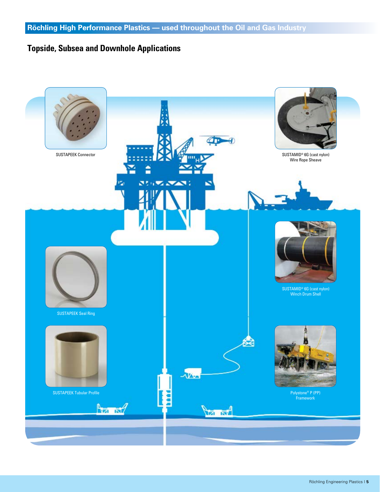# **Topside, Subsea and Downhole Applications**